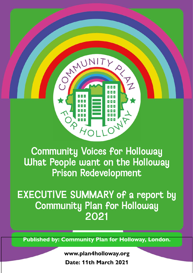

 $H_{O1}$ 

N N N

**ANT** 

TY

CONNUNI

EXECUTIVE SUMMARY of a report by Community Plan for Holloway 2021

**Published by: Community Plan for Holloway, London.**

**www.plan4holloway.org Date: 11th March 2021**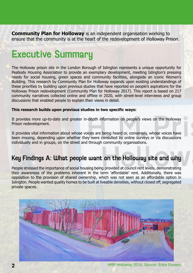**Community Plan for Holloway** is an independent organisation working to ensure that the community is at the heart of the redevelopment of Holloway Prison.

# Executive Summary

The Holloway prison site in the London Borough of Islington represents a unique opportunity for Peabody Housing Association to provide an exemplary development, meeting Islington's pressing needs for social housing, green spaces and community facilities, alongside an iconic Women's Building. This research by Community Plan for Holloway expands upon existing understandings of these priorities by building upon previous studies that have reported on people's aspirations for the Holloway Prison redevelopment (Community Plan for Holloway 2017). This report is based on 217 community narratives collected online and offline in 2020, with street-level interviews and group discussions that enabled people to explain their views in detail.

#### **This research builds upon previous studies in two specific ways:**

It provides more up-to-date and greater in-depth information on people's views on the Holloway Prison redevelopment.

It provides vital information about whose voices are being heard or, conversely, whose voices have been missing, depending upon whether they were consulted by online surveys or via discussions individually and in groups, on the street and through community organisations.

### Key Findings A: What people want on the Holloway site and why

People stressed the importance of social housing being provided at council rent levels, demonstrating their awareness of the problems inherent in the term 'affordable' rent. Additionally, there was opposition to the provision of shared ownership, which was not seen as an affordable option in Islington. People wanted quality homes to be built at liveable densities, without closed off, segregated private spaces.

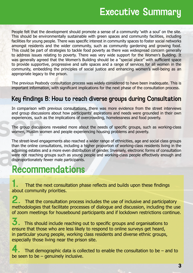People felt that the development should promote a sense of a community 'with a soul' on the site. This should be environmentally sustainable with green spaces and community facilities, including facilities for young people. There was specific interest in community spaces to foster social networks amongst residents and the wider community, such as community gardening and growing food. This could be part of strategies to tackle food poverty as there was widespread concern generally to address issues relating to poverty. There was very wide support for the Women's Building. It was generally agreed that the Women's Building should be a "special place" with sufficient space to provide supportive, progressive and safe spaces and a range of services for all women in the community, embedding the principles of social justice and enhancing women's well-being as an appropriate legacy to the prison.

The previous Peabody consultation process was widely considered to have been inadequate. This is important information, with significant implications for the next phase of the consultation process.

### Key findings B: How to reach diverse groups during Consultation

In comparison with previous consultations, there was more evidence from the street interviews and group discussions about how participants' aspirations and needs were grounded in their own experiences, such as the implications of overcrowding, homelessness and food poverty.

The group discussions revealed more about the needs of specific groups, such as working-class women, Muslim women and people experiencing housing problems and poverty.

The street-level engagements also reached a wider range of ethnicities, age and social class groups than the online consultations, including a higher proportion of working-class residents living in the adjoining estates and a more even distribution of gender. Inversely, electronic forms of consultation were not reaching groups such as young people and working-class people effectively enough and disproportionately fewer male participants.

## Recommendations

That the next consultation phase reflects and builds upon these findings about community priorities.

2. That the consultation process includes the use of inclusive and participatory methodologies that facilitate processes of dialogue and discussion, including the use of zoom meetings for housebound participants and if lockdown restrictions continue.

 $\bf 3.$  This should include reaching out to specific groups and organisations to ensure that those who are less likely to respond to online surveys get heard, in particular young people, working class residents and diverse ethnic groups, especially those living near the prison site.

That demographic data is collected to enable the consultation to be  $-$  and to be seen to be – genuinely inclusive.